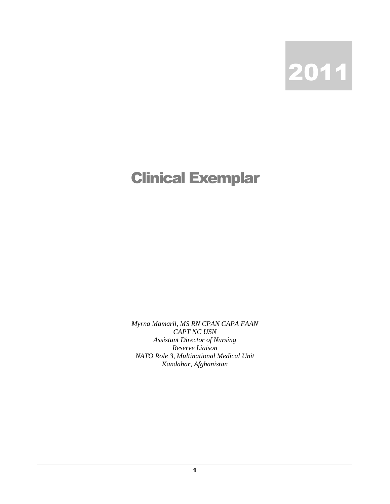

## Clinical Exemplar

*Myrna Mamaril, MS RN CPAN CAPA FAAN CAPT NC USN Assistant Director of Nursing Reserve Liaison NATO Role 3, Multinational Medical Unit Kandahar, Afghanistan*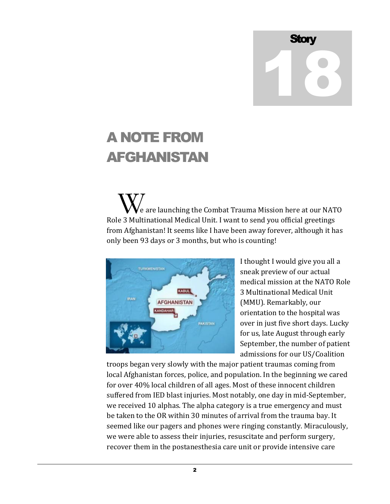## Stor 18

## A NOTE FROM AFGHANISTAN

 e are launching the Combat Trauma Mission here at our NATO We are launching the Combat Trauma Mission here at our NAT<br>Role 3 Multinational Medical Unit. I want to send you official greetings from Afghanistan! It seems like I have been away forever, although it has only been 93 days or 3 months, but who is counting!



I thought I would give you all a sneak preview of our actual medical mission at the NATO Role 3 Multinational Medical Unit (MMU). Remarkably, our orientation to the hospital was over in just five short days. Lucky for us, late August through early September, the number of patient admissions for our US/Coalition

troops began very slowly with the major patient traumas coming from local Afghanistan forces, police, and population. In the beginning we cared for over 40% local children of all ages. Most of these innocent children suffered from IED blast injuries. Most notably, one day in mid-September, we received 10 alphas. The alpha category is a true emergency and must be taken to the OR within 30 minutes of arrival from the trauma bay. It seemed like our pagers and phones were ringing constantly. Miraculously, we were able to assess their injuries, resuscitate and perform surgery, recover them in the postanesthesia care unit or provide intensive care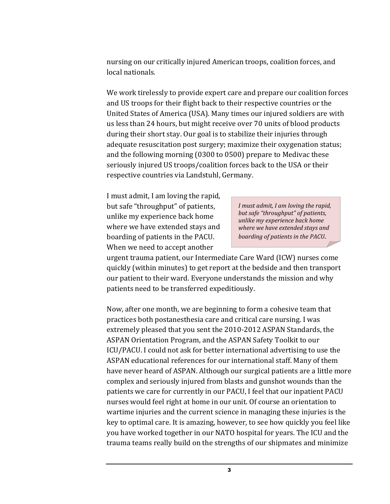nursing on our critically injured American troops, coalition forces, and local nationals.

We work tirelessly to provide expert care and prepare our coalition forces and US troops for their flight back to their respective countries or the United States of America (USA). Many times our injured soldiers are with us less than 24 hours, but might receive over 70 units of blood products during their short stay. Our goal is to stabilize their injuries through adequate resuscitation post surgery; maximize their oxygenation status; and the following morning (0300 to 0500) prepare to Medivac these seriously injured US troops/coalition forces back to the USA or their respective countries via Landstuhl, Germany.

I must admit, I am loving the rapid, but safe "throughput" of patients, unlike my experience back home where we have extended stays and boarding of patients in the PACU. When we need to accept another

*I must admit, I am loving the rapid, but safe "throughput" of patients, unlike my experience back home where we have extended stays and boarding of patients in the PACU*.

urgent trauma patient, our Intermediate Care Ward (ICW) nurses come quickly (within minutes) to get report at the bedside and then transport our patient to their ward. Everyone understands the mission and why patients need to be transferred expeditiously.

Now, after one month, we are beginning to form a cohesive team that practices both postanesthesia care and critical care nursing. I was extremely pleased that you sent the 2010-2012 ASPAN Standards, the ASPAN Orientation Program, and the ASPAN Safety Toolkit to our ICU/PACU. I could not ask for better international advertising to use the ASPAN educational references for our international staff. Many of them have never heard of ASPAN. Although our surgical patients are a little more complex and seriously injured from blasts and gunshot wounds than the patients we care for currently in our PACU, I feel that our inpatient PACU nurses would feel right at home in our unit. Of course an orientation to wartime injuries and the current science in managing these injuries is the key to optimal care. It is amazing, however, to see how quickly you feel like you have worked together in our NATO hospital for years. The ICU and the trauma teams really build on the strengths of our shipmates and minimize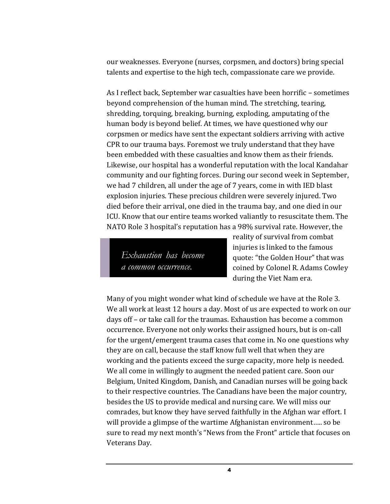our weaknesses. Everyone (nurses, corpsmen, and doctors) bring special talents and expertise to the high tech, compassionate care we provide.

As I reflect back, September war casualties have been horrific – sometimes beyond comprehension of the human mind. The stretching, tearing, shredding, torquing, breaking, burning, exploding, amputating of the human body is beyond belief. At times, we have questioned why our corpsmen or medics have sent the expectant soldiers arriving with active CPR to our trauma bays. Foremost we truly understand that they have been embedded with these casualties and know them as their friends. Likewise, our hospital has a wonderful reputation with the local Kandahar community and our fighting forces. During our second week in September, we had 7 children, all under the age of 7 years, come in with IED blast explosion injuries. These precious children were severely injured. Two died before their arrival, one died in the trauma bay, and one died in our ICU. Know that our entire teams worked valiantly to resuscitate them. The NATO Role 3 hospital's reputation has a 98% survival rate. However, the

*Exhaustion has become a common occurrence.*

reality of survival from combat injuries is linked to the famous quote: "the Golden Hour" that was coined by Colonel R. Adams Cowley during the Viet Nam era.

Many of you might wonder what kind of schedule we have at the Role 3. We all work at least 12 hours a day. Most of us are expected to work on our days off – or take call for the traumas. Exhaustion has become a common occurrence. Everyone not only works their assigned hours, but is on-call for the urgent/emergent trauma cases that come in. No one questions why they are on call, because the staff know full well that when they are working and the patients exceed the surge capacity, more help is needed. We all come in willingly to augment the needed patient care. Soon our Belgium, United Kingdom, Danish, and Canadian nurses will be going back to their respective countries. The Canadians have been the major country, besides the US to provide medical and nursing care. We will miss our comrades, but know they have served faithfully in the Afghan war effort. I will provide a glimpse of the wartime Afghanistan environment….. so be sure to read my next month's "News from the Front" article that focuses on Veterans Day.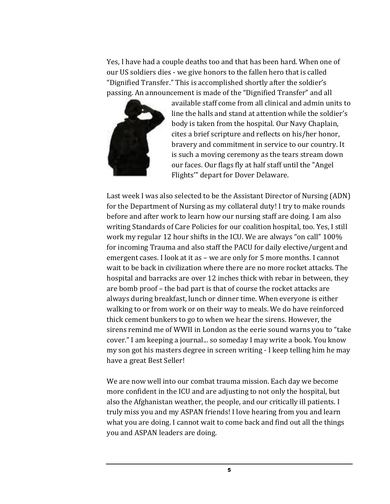Yes, I have had a couple deaths too and that has been hard. When one of our US soldiers dies - we give honors to the fallen hero that is called "Dignified Transfer." This is accomplished shortly after the soldier's passing. An announcement is made of the "Dignified Transfer" and all



available staff come from all clinical and admin units to line the halls and stand at attention while the soldier's body is taken from the hospital. Our Navy Chaplain, cites a brief scripture and reflects on his/her honor, bravery and commitment in service to our country. It is such a moving ceremony as the tears stream down our faces. Our flags fly at half staff until the "Angel Flights'" depart for Dover Delaware.

Last week I was also selected to be the Assistant Director of Nursing (ADN) for the Department of Nursing as my collateral duty! I try to make rounds before and after work to learn how our nursing staff are doing. I am also writing Standards of Care Policies for our coalition hospital, too. Yes, I still work my regular 12 hour shifts in the ICU. We are always "on call" 100% for incoming Trauma and also staff the PACU for daily elective/urgent and emergent cases. I look at it as – we are only for 5 more months. I cannot wait to be back in civilization where there are no more rocket attacks. The hospital and barracks are over 12 inches thick with rebar in between, they are bomb proof – the bad part is that of course the rocket attacks are always during breakfast, lunch or dinner time. When everyone is either walking to or from work or on their way to meals. We do have reinforced thick cement bunkers to go to when we hear the sirens. However, the sirens remind me of WWII in London as the eerie sound warns you to "take cover." I am keeping a journal... so someday I may write a book. You know my son got his masters degree in screen writing - I keep telling him he may have a great Best Seller!

We are now well into our combat trauma mission. Each day we become more confident in the ICU and are adjusting to not only the hospital, but also the Afghanistan weather, the people, and our critically ill patients. I truly miss you and my ASPAN friends! I love hearing from you and learn what you are doing. I cannot wait to come back and find out all the things you and ASPAN leaders are doing.